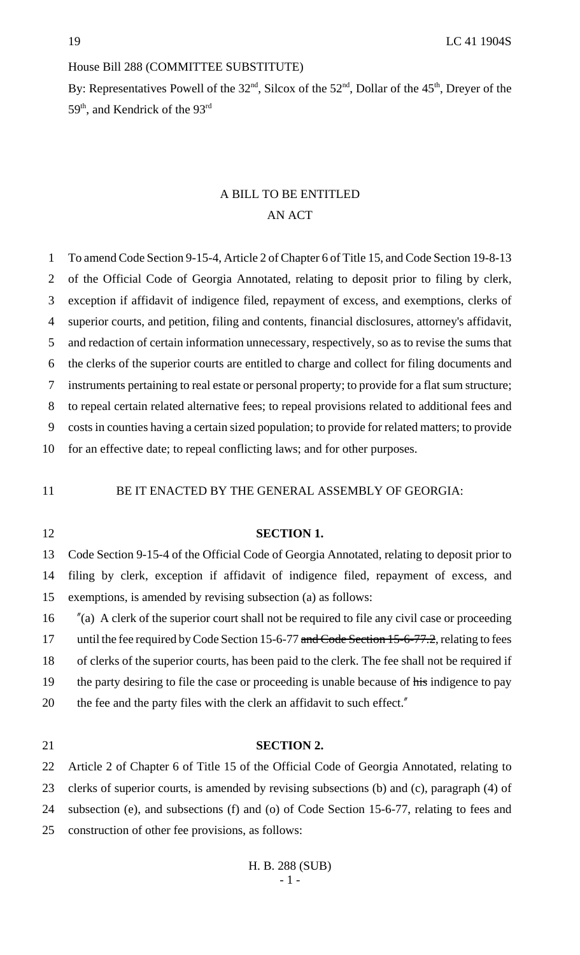### House Bill 288 (COMMITTEE SUBSTITUTE)

By: Representatives Powell of the  $32<sup>nd</sup>$ , Silcox of the  $52<sup>nd</sup>$ , Dollar of the  $45<sup>th</sup>$ , Dreyer of the 59<sup>th</sup>, and Kendrick of the 93<sup>rd</sup>

## A BILL TO BE ENTITLED AN ACT

 To amend Code Section 9-15-4, Article 2 of Chapter 6 of Title 15, and Code Section 19-8-13 of the Official Code of Georgia Annotated, relating to deposit prior to filing by clerk, exception if affidavit of indigence filed, repayment of excess, and exemptions, clerks of superior courts, and petition, filing and contents, financial disclosures, attorney's affidavit, and redaction of certain information unnecessary, respectively, so as to revise the sums that the clerks of the superior courts are entitled to charge and collect for filing documents and instruments pertaining to real estate or personal property; to provide for a flat sum structure; to repeal certain related alternative fees; to repeal provisions related to additional fees and costs in counties having a certain sized population; to provide for related matters; to provide for an effective date; to repeal conflicting laws; and for other purposes.

### 11 BE IT ENACTED BY THE GENERAL ASSEMBLY OF GEORGIA:

# **SECTION 1.** Code Section 9-15-4 of the Official Code of Georgia Annotated, relating to deposit prior to filing by clerk, exception if affidavit of indigence filed, repayment of excess, and exemptions, is amended by revising subsection (a) as follows: "(a) A clerk of the superior court shall not be required to file any civil case or proceeding 17 until the fee required by Code Section 15-6-77 and Code Section 15-6-77.2, relating to fees of clerks of the superior courts, has been paid to the clerk. The fee shall not be required if 19 the party desiring to file the case or proceeding is unable because of his indigence to pay 20 the fee and the party files with the clerk an affidavit to such effect."

#### **SECTION 2.**

 Article 2 of Chapter 6 of Title 15 of the Official Code of Georgia Annotated, relating to clerks of superior courts, is amended by revising subsections (b) and (c), paragraph (4) of subsection (e), and subsections (f) and (o) of Code Section 15-6-77, relating to fees and construction of other fee provisions, as follows: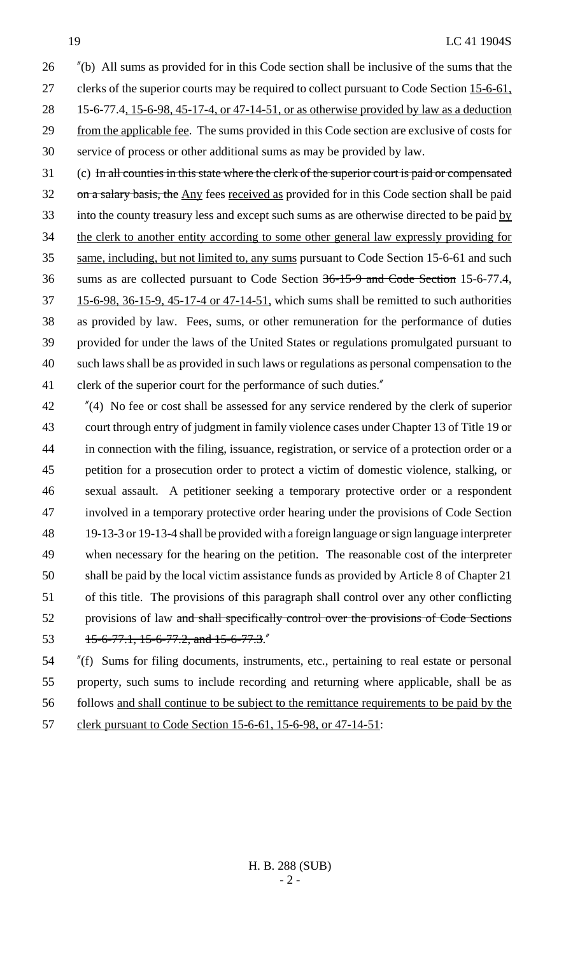"(b) All sums as provided for in this Code section shall be inclusive of the sums that the

27 clerks of the superior courts may be required to collect pursuant to Code Section 15-6-61,

 15-6-77.4, 15-6-98, 45-17-4, or 47-14-51, or as otherwise provided by law as a deduction from the applicable fee. The sums provided in this Code section are exclusive of costs for

service of process or other additional sums as may be provided by law.

- (c) In all counties in this state where the clerk of the superior court is paid or compensated 32 on a salary basis, the Any fees received as provided for in this Code section shall be paid 33 into the county treasury less and except such sums as are otherwise directed to be paid by the clerk to another entity according to some other general law expressly providing for same, including, but not limited to, any sums pursuant to Code Section 15-6-61 and such sums as are collected pursuant to Code Section 36-15-9 and Code Section 15-6-77.4, 37 15-6-98, 36-15-9, 45-17-4 or 47-14-51, which sums shall be remitted to such authorities as provided by law. Fees, sums, or other remuneration for the performance of duties provided for under the laws of the United States or regulations promulgated pursuant to such laws shall be as provided in such laws or regulations as personal compensation to the 41 clerk of the superior court for the performance of such duties."
- "(4) No fee or cost shall be assessed for any service rendered by the clerk of superior court through entry of judgment in family violence cases under Chapter 13 of Title 19 or in connection with the filing, issuance, registration, or service of a protection order or a petition for a prosecution order to protect a victim of domestic violence, stalking, or sexual assault. A petitioner seeking a temporary protective order or a respondent involved in a temporary protective order hearing under the provisions of Code Section 19-13-3 or 19-13-4 shall be provided with a foreign language or sign language interpreter when necessary for the hearing on the petition. The reasonable cost of the interpreter shall be paid by the local victim assistance funds as provided by Article 8 of Chapter 21 of this title. The provisions of this paragraph shall control over any other conflicting 52 provisions of law and shall specifically control over the provisions of Code Sections 53 15-6-77.1, 15-6-77.2, and 15-6-77.3.

 "(f) Sums for filing documents, instruments, etc., pertaining to real estate or personal property, such sums to include recording and returning where applicable, shall be as follows and shall continue to be subject to the remittance requirements to be paid by the 57 clerk pursuant to Code Section 15-6-61, 15-6-98, or 47-14-51: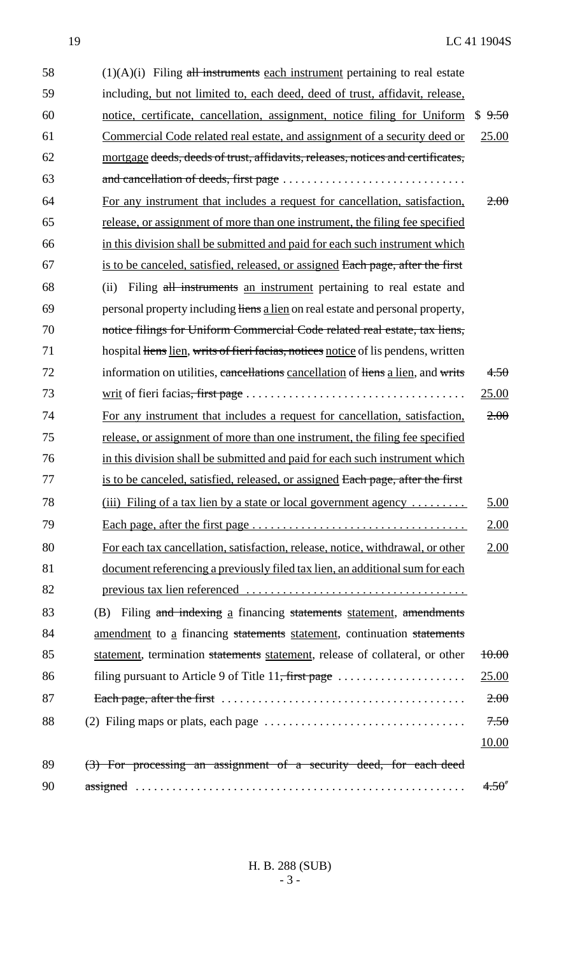| 58 | $(1)(A)(i)$ Filing all instruments each instrument pertaining to real estate                            |              |
|----|---------------------------------------------------------------------------------------------------------|--------------|
| 59 | including, but not limited to, each deed, deed of trust, affidavit, release,                            |              |
| 60 | notice, certificate, cancellation, assignment, notice filing for Uniform                                | \$9.50       |
| 61 | Commercial Code related real estate, and assignment of a security deed or                               | 25.00        |
| 62 | mortgage deeds, deeds of trust, affidavits, releases, notices and certificates,                         |              |
| 63 |                                                                                                         |              |
| 64 | For any instrument that includes a request for cancellation, satisfaction,                              | 2.00         |
| 65 | release, or assignment of more than one instrument, the filing fee specified                            |              |
| 66 | in this division shall be submitted and paid for each such instrument which                             |              |
| 67 | is to be canceled, satisfied, released, or assigned Each page, after the first                          |              |
| 68 | Filing all instruments an instrument pertaining to real estate and<br>(ii)                              |              |
| 69 | personal property including liens a lien on real estate and personal property,                          |              |
| 70 | notice filings for Uniform Commercial Code related real estate, tax liens,                              |              |
| 71 | hospital liens lien, writs of fieri facias, notices notice of lis pendens, written                      |              |
| 72 | information on utilities, cancellations cancellation of liens a lien, and writs                         | 4.50         |
| 73 |                                                                                                         | 25.00        |
| 74 | For any instrument that includes a request for cancellation, satisfaction,                              | 2.00         |
| 75 | release, or assignment of more than one instrument, the filing fee specified                            |              |
| 76 | in this division shall be submitted and paid for each such instrument which                             |              |
| 77 | is to be canceled, satisfied, released, or assigned Each page, after the first                          |              |
| 78 | (iii) Filing of a tax lien by a state or local government agency                                        | 5.00         |
| 79 |                                                                                                         | <u>2.00</u>  |
| 80 | For each tax cancellation, satisfaction, release, notice, withdrawal, or other                          | 2.00         |
| 81 | document referencing a previously filed tax lien, an additional sum for each                            |              |
| 82 |                                                                                                         |              |
| 83 | Filing and indexing a financing statements statement, amendments<br>(B)                                 |              |
| 84 | <u>amendment</u> to <u>a</u> financing statements statement, continuation statements                    |              |
| 85 | statement, termination statements statement, release of collateral, or other                            | $+0.00$      |
| 86 | filing pursuant to Article 9 of Title $11$ , first page $\dots \dots \dots \dots \dots \dots$           | <u>25.00</u> |
| 87 |                                                                                                         | 2.00         |
| 88 | (2) Filing maps or plats, each page $\dots \dots \dots \dots \dots \dots \dots \dots \dots \dots \dots$ | 7.50         |
|    |                                                                                                         | <u>10.00</u> |
| 89 | (3) For processing an assignment of a security deed, for each deed                                      |              |
| 90 |                                                                                                         | 4.50''       |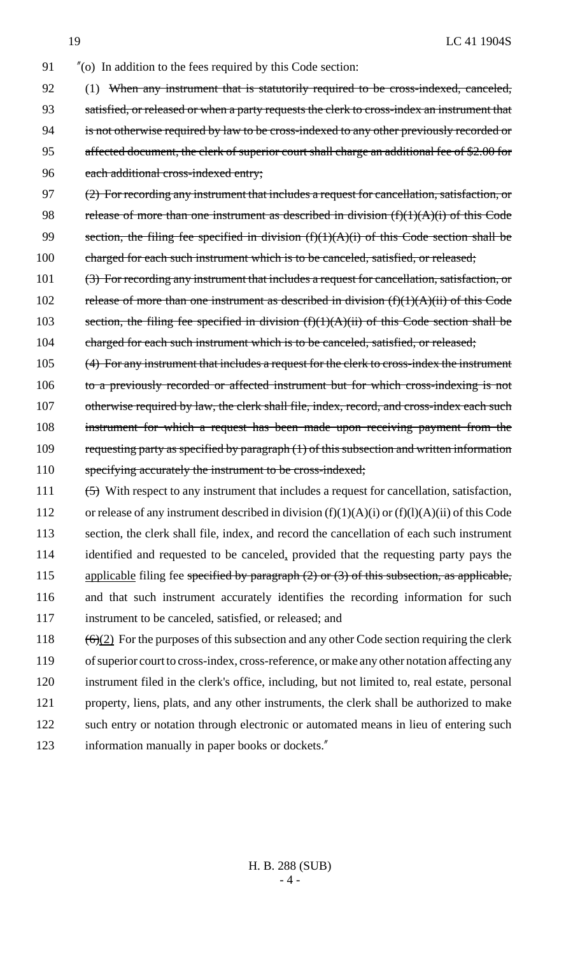- 91 "(o) In addition to the fees required by this Code section:
- 92 (1) When any instrument that is statutorily required to be cross-indexed, canceled, 93 satisfied, or released or when a party requests the clerk to cross-index an instrument that 94 is not otherwise required by law to be cross-indexed to any other previously recorded or 95 affected document, the clerk of superior court shall charge an additional fee of \$2.00 for 96 each additional cross-indexed entry;
- 97 (2) For recording any instrument that includes a request for cancellation, satisfaction, or 98 release of more than one instrument as described in division  $(f)(1)(A)(i)$  of this Code 99 section, the filing fee specified in division  $(f)(1)(A)(i)$  of this Code section shall be 100 charged for each such instrument which is to be canceled, satisfied, or released;
- 101 (3) For recording any instrument that includes a request for cancellation, satisfaction, or 102 release of more than one instrument as described in division  $(f)(1)(A)(ii)$  of this Code 103 section, the filing fee specified in division  $(f)(1)(A)(ii)$  of this Code section shall be 104 charged for each such instrument which is to be canceled, satisfied, or released;
- 105 (4) For any instrument that includes a request for the clerk to cross-index the instrument 106 to a previously recorded or affected instrument but for which cross-indexing is not 107 otherwise required by law, the clerk shall file, index, record, and cross-index each such 108 instrument for which a request has been made upon receiving payment from the 109 requesting party as specified by paragraph (1) of this subsection and written information 110 specifying accurately the instrument to be cross-indexed;
- 111 (5) With respect to any instrument that includes a request for cancellation, satisfaction, 112 or release of any instrument described in division  $(f)(1)(A)(i)$  or  $(f)(l)(A)(ii)$  of this Code 113 section, the clerk shall file, index, and record the cancellation of each such instrument 114 identified and requested to be canceled, provided that the requesting party pays the 115 applicable filing fee specified by paragraph (2) or (3) of this subsection, as applicable, 116 and that such instrument accurately identifies the recording information for such 117 instrument to be canceled, satisfied, or released; and
- 118  $(6)(2)$  For the purposes of this subsection and any other Code section requiring the clerk 119 of superior court to cross-index, cross-reference, or make any other notation affecting any 120 instrument filed in the clerk's office, including, but not limited to, real estate, personal 121 property, liens, plats, and any other instruments, the clerk shall be authorized to make 122 such entry or notation through electronic or automated means in lieu of entering such 123 information manually in paper books or dockets."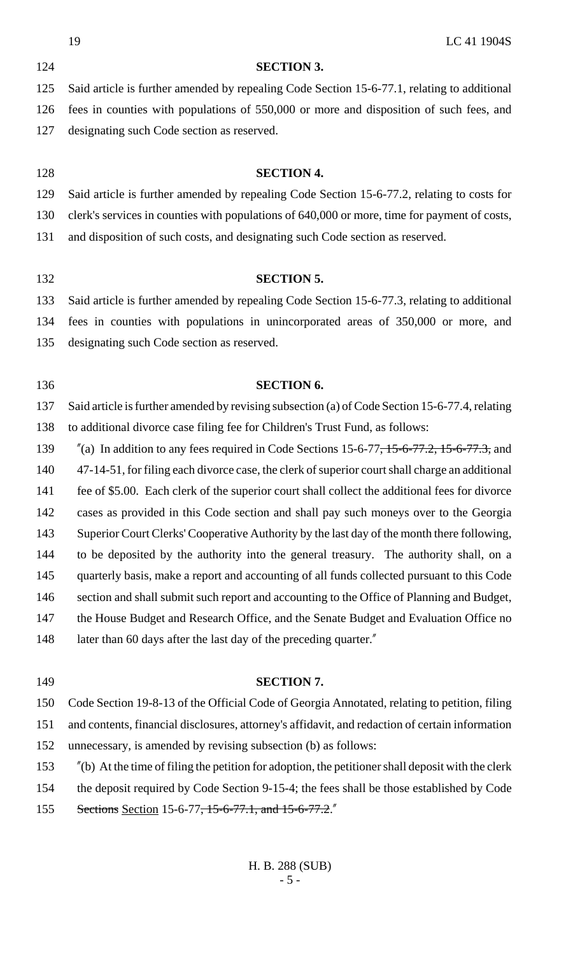|     | 19<br>LC 41 1904S                                                                                 |
|-----|---------------------------------------------------------------------------------------------------|
| 124 | <b>SECTION 3.</b>                                                                                 |
| 125 | Said article is further amended by repealing Code Section 15-6-77.1, relating to additional       |
| 126 | fees in counties with populations of 550,000 or more and disposition of such fees, and            |
| 127 | designating such Code section as reserved.                                                        |
| 128 | <b>SECTION 4.</b>                                                                                 |
| 129 | Said article is further amended by repealing Code Section 15-6-77.2, relating to costs for        |
| 130 | clerk's services in counties with populations of 640,000 or more, time for payment of costs,      |
| 131 | and disposition of such costs, and designating such Code section as reserved.                     |
| 132 | <b>SECTION 5.</b>                                                                                 |
| 133 | Said article is further amended by repealing Code Section 15-6-77.3, relating to additional       |
| 134 | fees in counties with populations in unincorporated areas of 350,000 or more, and                 |
| 135 | designating such Code section as reserved.                                                        |
| 136 | <b>SECTION 6.</b>                                                                                 |
| 137 | Said article is further amended by revising subsection (a) of Code Section 15-6-77.4, relating    |
| 138 | to additional divorce case filing fee for Children's Trust Fund, as follows:                      |
| 139 | $\alpha$ (a) In addition to any fees required in Code Sections 15-6-77, 15-6-77.2, 15-6-77.3, and |
| 140 | 47-14-51, for filing each divorce case, the clerk of superior court shall charge an additional    |
| 141 | fee of \$5.00. Each clerk of the superior court shall collect the additional fees for divorce     |
| 142 | cases as provided in this Code section and shall pay such moneys over to the Georgia              |
| 143 | Superior Court Clerks' Cooperative Authority by the last day of the month there following,        |
| 144 | to be deposited by the authority into the general treasury. The authority shall, on a             |
| 145 | quarterly basis, make a report and accounting of all funds collected pursuant to this Code        |
| 146 | section and shall submit such report and accounting to the Office of Planning and Budget,         |
| 147 | the House Budget and Research Office, and the Senate Budget and Evaluation Office no              |
| 148 | later than 60 days after the last day of the preceding quarter."                                  |
| 149 | <b>SECTION 7.</b>                                                                                 |

 Code Section 19-8-13 of the Official Code of Georgia Annotated, relating to petition, filing and contents, financial disclosures, attorney's affidavit, and redaction of certain information unnecessary, is amended by revising subsection (b) as follows:

- "(b) At the time of filing the petition for adoption, the petitioner shall deposit with the clerk
- the deposit required by Code Section 9-15-4; the fees shall be those established by Code
- 155 Sections Section 15-6-77, 15-6-77.1, and 15-6-77.2."